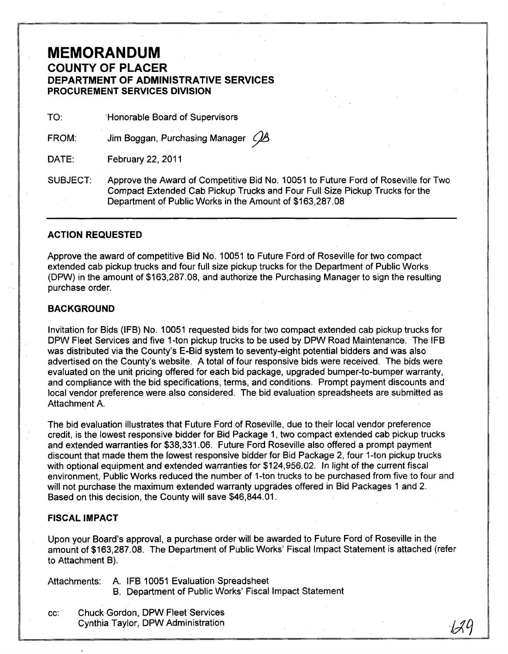# **MEMORANDUM COUNTY OF PLACER DEPARTMENT OF ADMINISTRATIVE SERVICES PROCUREMENT SERVICES DIVISION**

TO: **Honorable Board of Supervisors** 

FROM: Jim Boggan, Purchasing Manager *QB* 

DATE: February 22, 2011

SUBJECT: Approve the Award of Competitive Bid No. 10051 to Future Ford of Roseville for Two Compact Extended Cab Pickup Trucks and Four Full Size Pickup Trucks for the Department of Public Works in the Amount of \$163,287.08

## **ACTION REQUESTED**

Approve the award of competitive Bid No. 10051 to Future Ford of Roseville for two compact extended cab pickup trucks and four full size pickup trucks for the Department of Public Works (DPW) in the amount of \$163,287.08, and authorize the Purchasing Manager to sign the resulting purchase order.

## **BACKGROUND**

Invitation for Bids (IFB) No. 10051 requested bids for two compact extended cab pickup trucks for DPW Fleet Services and five 1-ton pickup trucks to be used by DPW Road Maintenance. The IFB was distributed via the County's E-Bid system to seventy-eight potential bidders and was also advertised on the County's website. A total of four responsive bids were received. The bids were evaluated on the unit pricing offered for each bid package, upgraded bumper-to-bumper warranty, and compliance with the bid specifications, terms, arid conditions. Prompt payment discounts and local vendor preference were also considered. The bid evaluation spreadsheets are submitted as Attachment A.

The bid evaluation illustrates that Future Ford of Roseville, due to their local vendor preference credit, is the lowest responsive bidder for Bid Package 1, two compact extended cab pickup trucks and extended warranties for \$38,331.06. Future Ford Roseville also offered a prompt payment discount that made them the lowest responsive bidder for Bid Package 2, four 1-ton pickup trucks with optional equipment and extended warranties for \$124,956.02. In light of the current fiscal environment, Public Works reduced the number of 1-ton trucks to be purchased from five to four and will not purchase the maximum extended warranty upgrades offered in Bid Packages 1 and 2. Based on this decision, the County will save \$46,844.01.

## **FISCAL IMPACT**

Upon your Board's approval, a purchase order will be awarded to Future Ford of Roseville in the amount of \$163,287.08. The Department of Public Works' Fiscal Impact Statement is attached (refer to Attachment B).

Attachments: A. IFB 10051 Evaluation Spreadsheet

- B. Department of Public Works' Fiscal Impact Statement
- cc: Chuck Gordon, DPW Fleet Services

Cynthia Taylor, DPW Administration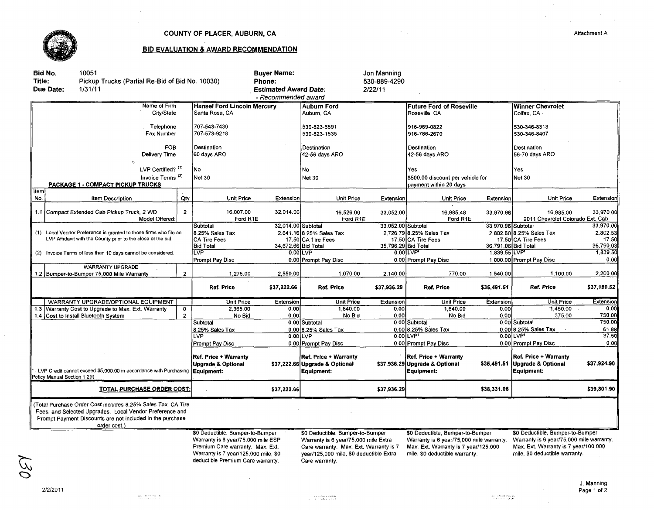

### COUNTY OF PLACER, AUBURN, CA

 $\bar{\mathcal{A}}$ 

 $\sim$ 

#### **BID EVALUATION & AWARD RECOMMENDATION**

| Title:                                                                                                                            | Bid No.<br>Due Date:                                         | 10051<br>Pickup Trucks (Partial Re-Bid of Bid No. 10030)<br>1/31/11                                                                                                                                   |                                                                                                                                                    | Phone:                                                                      | <b>Buyer Name:</b><br><b>Estimated Award Date:</b><br>- Recommended award                                                                                     |                                                                              | Jon Manning<br>530-889-4290<br>2/22/11                                                                                                                 |                                                                                     |                                                                                                                                                        |                                                                                     |                  |
|-----------------------------------------------------------------------------------------------------------------------------------|--------------------------------------------------------------|-------------------------------------------------------------------------------------------------------------------------------------------------------------------------------------------------------|----------------------------------------------------------------------------------------------------------------------------------------------------|-----------------------------------------------------------------------------|---------------------------------------------------------------------------------------------------------------------------------------------------------------|------------------------------------------------------------------------------|--------------------------------------------------------------------------------------------------------------------------------------------------------|-------------------------------------------------------------------------------------|--------------------------------------------------------------------------------------------------------------------------------------------------------|-------------------------------------------------------------------------------------|------------------|
| Name of Firm<br>City/State                                                                                                        |                                                              |                                                                                                                                                                                                       | <b>Hansel Ford Lincoln Mercury</b><br>Santa Rosa, CA                                                                                               |                                                                             | <b>Auburn Ford</b><br>Auburn, CA                                                                                                                              |                                                                              | <b>Future Ford of Roseville</b><br>Roseville, CA                                                                                                       |                                                                                     | <b>Winner Chevrolet</b><br>Colfax, CA                                                                                                                  |                                                                                     |                  |
| Telephone<br>Fax Number                                                                                                           |                                                              |                                                                                                                                                                                                       | 707-543-7430<br>707-573-9218                                                                                                                       |                                                                             | 530-823-6591<br>530-823-1535                                                                                                                                  |                                                                              | 916-969-0822<br>916-786-2670                                                                                                                           |                                                                                     | 530-346-8313<br>530-346-8407                                                                                                                           |                                                                                     |                  |
| <b>FOB</b><br>Delivery Time<br>$\ddot{\circ}$                                                                                     |                                                              |                                                                                                                                                                                                       | Destination<br>60 days ARO                                                                                                                         |                                                                             | Destination<br>42-56 days ARO                                                                                                                                 |                                                                              | Destination<br>42-56 days ARO                                                                                                                          |                                                                                     | Destination<br>56-70 days ARO                                                                                                                          |                                                                                     |                  |
| LVP Certified? (1)<br>Invoice Terms <sup>(2)</sup><br><b>PACKAGE 1 - COMPACT PICKUP TRUCKS</b>                                    |                                                              |                                                                                                                                                                                                       | No<br>Net 30                                                                                                                                       |                                                                             | No<br><b>Net 30</b>                                                                                                                                           |                                                                              | Yes.<br>\$500.00 discount per vehicle for<br>payment within 20 days                                                                                    |                                                                                     | Yes<br><b>Net 30</b>                                                                                                                                   |                                                                                     |                  |
| item <br>No.                                                                                                                      |                                                              | Item Description                                                                                                                                                                                      | Qty                                                                                                                                                | Unit Price                                                                  | Extension                                                                                                                                                     | Unit Price                                                                   | Extension                                                                                                                                              | Unit Price                                                                          | Extension                                                                                                                                              | Unit Price                                                                          | Extension        |
|                                                                                                                                   |                                                              | 1.1 Compact Extended Cab Pickup Truck, 2 WD<br>Model Offered:                                                                                                                                         | $\overline{2}$                                                                                                                                     | 16.007.00<br>Ford R1E                                                       | 32.014.00                                                                                                                                                     | 16,526.00<br>Ford R1E                                                        | 33,052.00                                                                                                                                              | 16.985.48<br>Ford R1E                                                               | 33,970.96                                                                                                                                              | 16.985.00<br>2011 Chevrolet Colorado Ext. Cab                                       | 33.970.00        |
| (1) Local Vendor Preference is granted to those firms who file an<br>LVP Affidavit with the County prior to the close of the bid. |                                                              |                                                                                                                                                                                                       | Subtotal<br>8.25% Sales Tax<br><b>CA Tire Fees</b>                                                                                                 | 32.014.00 Subtotal                                                          | 2,641.16 8.25% Sales Tax<br>17.50 CA Tire Fees                                                                                                                | 33.052.00 Subtotal                                                           | 2.726.79 8.25% Sales Tax<br>17.50 CA Tire Fees                                                                                                         | 33.970.96 Subtotal                                                                  | 2,802.60 8.25% Sales Tax<br>17.50 CA Tire Fees                                                                                                         | 33,970.00<br>2,802.53<br>17.50<br>36,790.03                                         |                  |
|                                                                                                                                   | (2) Invoice Terms of less than 10 days cannot be considered. |                                                                                                                                                                                                       |                                                                                                                                                    | <b>Bid Total</b><br>LVP<br>Prompt Pay Disc                                  | 34,672.66 Bid Total                                                                                                                                           | $0.00$ LVP<br>0.00 Prompt Pay Disc                                           | 35,796,29 Bid Total                                                                                                                                    | $0.00$ LVP<br>0.00 Prompt Pay Disc                                                  | 36,791.06 Bid Total<br>1.839.55 LVP                                                                                                                    | 1,000.00 Prompt Pay Disc                                                            | 1,839.50<br>0.00 |
|                                                                                                                                   |                                                              | <b>WARRANTY UPGRADE</b><br>1.2 Bumper-to-Bumper 75,000 Mile Warranty                                                                                                                                  | $\overline{2}$                                                                                                                                     | 1,275.00                                                                    | 2,550.00                                                                                                                                                      | 1,070.00                                                                     | 2,140.00                                                                                                                                               | 770.00                                                                              | 1,540.00                                                                                                                                               | 1,100.00                                                                            | 2,200.00         |
|                                                                                                                                   |                                                              |                                                                                                                                                                                                       |                                                                                                                                                    | <b>Ref. Price</b>                                                           | \$37,222.66                                                                                                                                                   | <b>Ref. Price</b>                                                            | \$37,936.29                                                                                                                                            | <b>Ref. Price</b>                                                                   | \$35,491.51                                                                                                                                            | Ref. Price                                                                          | \$37,150.52      |
|                                                                                                                                   |                                                              | WARRANTY UPGRADE/OPTIONAL EQUIPMENT                                                                                                                                                                   |                                                                                                                                                    | <b>Unit Price</b>                                                           | Extension                                                                                                                                                     | <b>Unit Price</b>                                                            | Extension                                                                                                                                              | <b>Unit Price</b>                                                                   | Extension                                                                                                                                              | Unit Price                                                                          | Extension        |
|                                                                                                                                   |                                                              | 1.3 Warranty Cost to Upgrade to Max. Ext. Warranty                                                                                                                                                    | 0                                                                                                                                                  | 2,365.00                                                                    | 0.00                                                                                                                                                          | 1,840.00                                                                     | 0.00                                                                                                                                                   | 1,640,00                                                                            | 0.00                                                                                                                                                   | 1,450.00                                                                            | 0.00             |
|                                                                                                                                   |                                                              | 1.4 Cost to Install Bluetooth System                                                                                                                                                                  | $\overline{2}$                                                                                                                                     | No Bid                                                                      | 0.00                                                                                                                                                          | No Bid                                                                       | 0.00                                                                                                                                                   | No Bid                                                                              | 0.00                                                                                                                                                   | 375.00                                                                              | 750.00           |
|                                                                                                                                   |                                                              |                                                                                                                                                                                                       |                                                                                                                                                    | Subtotal                                                                    |                                                                                                                                                               | 0.00 Subtotal                                                                |                                                                                                                                                        | 0.00 Subtotal                                                                       |                                                                                                                                                        | 0.00 Subtotal                                                                       | 750,00           |
|                                                                                                                                   |                                                              |                                                                                                                                                                                                       |                                                                                                                                                    | 8.25% Sales Tax                                                             |                                                                                                                                                               | $0.00$ 8.25% Sales Tax                                                       |                                                                                                                                                        | $0.00$ 8.25% Sales Tax                                                              |                                                                                                                                                        | $0.00$ 8.25% Sales Tax                                                              | 61.88            |
|                                                                                                                                   |                                                              |                                                                                                                                                                                                       | LVP                                                                                                                                                |                                                                             | $0.00$ LVP                                                                                                                                                    |                                                                              | 0.00LVP                                                                                                                                                |                                                                                     | 0.00LVP                                                                                                                                                | 37.50                                                                               |                  |
|                                                                                                                                   |                                                              |                                                                                                                                                                                                       | Prompt Pay Disc                                                                                                                                    |                                                                             | 0.00 Prompt Pay Disc                                                                                                                                          |                                                                              | 0.00 Prompt Pay Disc                                                                                                                                   |                                                                                     | 0.00 Prompt Pay Disc                                                                                                                                   | 0.00ll                                                                              |                  |
|                                                                                                                                   | Policy Manual Section 1.2(f)                                 | - LVP Credit cannot exceed \$5,000.00 in accordance with Purchasing                                                                                                                                   |                                                                                                                                                    | <b>Ref. Price + Warranty</b><br><b>Upgrade &amp; Optional</b><br>Equipment: |                                                                                                                                                               | <b>Ref. Price + Warranty</b><br>\$37,222.66 Upgrade & Optional<br>Equipment: |                                                                                                                                                        | <b>Ref. Price + Warranty</b><br>\$37,936.29 Upgrade & Optional<br><b>Equipment:</b> |                                                                                                                                                        | <b>Ref. Price + Warranty</b><br>\$35,491.51 Upgrade & Optional<br><b>Equipment:</b> | \$37,924.90      |
| TOTAL PURCHASE ORDER COST:                                                                                                        |                                                              |                                                                                                                                                                                                       |                                                                                                                                                    |                                                                             | \$37,222.66                                                                                                                                                   |                                                                              | \$37,936.29                                                                                                                                            |                                                                                     | \$38.331.06                                                                                                                                            |                                                                                     | \$39,801.90      |
|                                                                                                                                   |                                                              | (Total Purchase Order Cost includes 8.25% Sales Tax, CA Tire<br>Fees, and Selected Upgrades. Local Vendor Preference and<br>Prompt Payment Discounts are not included in the purchase<br>order cost.) |                                                                                                                                                    |                                                                             |                                                                                                                                                               |                                                                              |                                                                                                                                                        |                                                                                     |                                                                                                                                                        |                                                                                     |                  |
|                                                                                                                                   |                                                              |                                                                                                                                                                                                       | \$0 Deductible, Bumper-to-Bumper<br>Warranty is 6 year/75,000 mile ESP<br>Premium Care warranty. Max. Ext.<br>Warranty is 7 year/125,000 mile, \$0 |                                                                             | \$0 Deductible, Bumper-to-Bumper<br>Warranty is 6 year/75,000 mile Extra<br>Care warranty. Max. Ext. Warranty is 7<br>vear/125.000 mile, \$0 deductible Extra |                                                                              | \$0 Deductible, Bumper-to-Bumper<br>Warranty is 6 year/75,000 mile warranty.<br>Max. Ext. Warranty is 7 year/125,000<br>mile, \$0 deductible warranty. |                                                                                     | \$0 Deductible, Bumper-to-Bumper<br>Warranty is 6 year/75,000 mile warranty.<br>Max. Ext. Warranty is 7 year/100,000<br>mile, \$0 deductible warranty. |                                                                                     |                  |

2/2/2011

130

deductible Premium Care warranty.

 $\sim$ 

Care warranty.

 $\sim 10^7$ 

 $\label{eq:1} \begin{split} \text{supp} \left( \mathcal{L} \right) & = \text{supp} \left( \mathcal{L} \right) \text{supp} \left( \mathcal{L} \right) \\ & = \text{supp} \left( \mathcal{L} \right) \text{supp} \left( \mathcal{L} \right) \text{supp} \left( \mathcal{L} \right) \\ & = \text{supp} \left( \mathcal{L} \right) \text{supp} \left( \mathcal{L} \right) \text{supp} \left( \mathcal{L} \right) \text{supp} \left( \mathcal{L} \right) \\ & = \text{supp} \left( \mathcal{L} \right$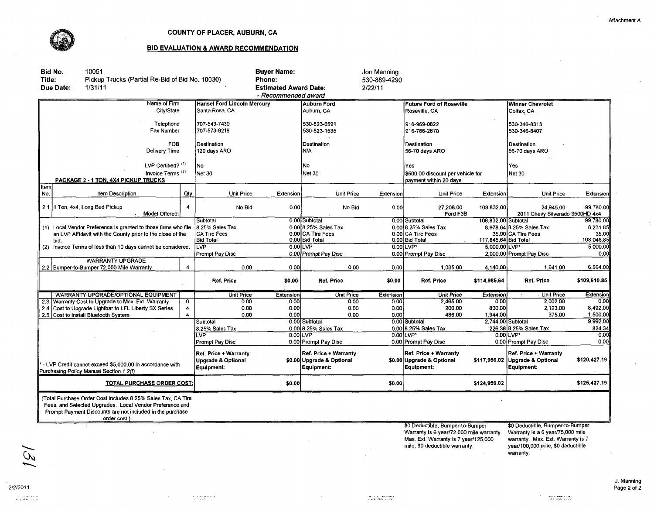

#### COUNTY OF PLACER, AUBURN, CA

#### BID EVALUATION & AWARD RECOMMENDATION

|                                                                                                     | Bid No.                                                                                                                                                                                               | 10051                                                          |                            |                             |                                                                             | <b>Buyer Name:</b>           |                                                                  | Jon Manning                   |                                                                              |                               |                                                                             |              |
|-----------------------------------------------------------------------------------------------------|-------------------------------------------------------------------------------------------------------------------------------------------------------------------------------------------------------|----------------------------------------------------------------|----------------------------|-----------------------------|-----------------------------------------------------------------------------|------------------------------|------------------------------------------------------------------|-------------------------------|------------------------------------------------------------------------------|-------------------------------|-----------------------------------------------------------------------------|--------------|
| Title:                                                                                              |                                                                                                                                                                                                       | Pickup Trucks (Partial Re-Bid of Bid No. 10030)                |                            |                             | Phone:                                                                      |                              |                                                                  | 530-889-4290                  |                                                                              |                               |                                                                             |              |
|                                                                                                     | Due Date:                                                                                                                                                                                             | 1/31/11                                                        |                            |                             |                                                                             | <b>Estimated Award Date:</b> |                                                                  | 2/22/11                       |                                                                              |                               |                                                                             |              |
|                                                                                                     | - Recommended award                                                                                                                                                                                   |                                                                |                            |                             |                                                                             |                              |                                                                  |                               |                                                                              |                               |                                                                             |              |
|                                                                                                     |                                                                                                                                                                                                       |                                                                | Name of Firm               |                             | <b>Hansel Ford Lincoln Mercury</b>                                          |                              | <b>Auburn Ford</b>                                               |                               | <b>Future Ford of Roseville</b>                                              |                               | <b>Winner Chevrolet</b>                                                     |              |
|                                                                                                     | City/State                                                                                                                                                                                            |                                                                |                            | Santa Rosa, CA              |                                                                             | Auburn, CA                   |                                                                  | Roseville, CA                 |                                                                              | Colfax, CA                    |                                                                             |              |
|                                                                                                     | Telephone                                                                                                                                                                                             |                                                                |                            | 707-543-7430                |                                                                             | 530-823-6591                 |                                                                  | 916-969-0822                  |                                                                              | 530-346-8313                  |                                                                             |              |
| Fax Number                                                                                          |                                                                                                                                                                                                       |                                                                |                            | 707-573-9218                |                                                                             | 530-823-1535                 |                                                                  | 916-786-2670                  |                                                                              | 530-346-8407                  |                                                                             |              |
| <b>FOB</b><br>Delivery Time                                                                         |                                                                                                                                                                                                       |                                                                |                            | Destination<br>120 days ARO |                                                                             | <b>Destination</b><br>N/A    |                                                                  | Destination<br>56-70 days ARO |                                                                              | Destination<br>56-70 days ARO |                                                                             |              |
|                                                                                                     |                                                                                                                                                                                                       |                                                                |                            |                             |                                                                             |                              |                                                                  |                               |                                                                              |                               |                                                                             |              |
| LVP Certified? (1)                                                                                  |                                                                                                                                                                                                       |                                                                | ،No                        |                             | No                                                                          |                              | Yes                                                              |                               | Yes.                                                                         |                               |                                                                             |              |
| Invoice Terms <sup>(2)</sup><br>PACKAGE 2 - 1 TON, 4X4 PICKUP TRUCKS                                |                                                                                                                                                                                                       |                                                                | <b>Net 30</b>              |                             | Net 30                                                                      |                              | \$500.00 discount per vehicle for<br>payment within 20 days      |                               | Net 30                                                                       |                               |                                                                             |              |
| <b>Item</b><br>No.                                                                                  |                                                                                                                                                                                                       | Item Description                                               |                            | Qty                         | Unit Price                                                                  | Extension                    | Unit Price                                                       | Extension                     | <b>Unit Price</b>                                                            | Extension                     | <b>Unit Price</b>                                                           | Extension    |
|                                                                                                     |                                                                                                                                                                                                       |                                                                |                            |                             |                                                                             |                              |                                                                  |                               |                                                                              |                               |                                                                             |              |
|                                                                                                     |                                                                                                                                                                                                       | 2.1 1 Ton, 4x4, Long Bed Pickup                                | Model Offered:             |                             | No Bid                                                                      | 0.00                         | No Bid                                                           | 0,00                          | 27,208.00<br>Ford F3B                                                        | 108.832.00                    | 24.945.00<br>2011 Chevy Silverado 3500HD 4x4                                | 99.780.00    |
|                                                                                                     |                                                                                                                                                                                                       |                                                                |                            |                             | Subtotal                                                                    |                              | 0.00 Subtotal                                                    |                               | 0.00 Subtotal                                                                | 108,832.00 Subtotal           |                                                                             | 99,780.00    |
|                                                                                                     |                                                                                                                                                                                                       | (1) Local Vendor Preference is granted to those firms who file |                            |                             | 8.25% Sales Tax                                                             |                              | 0.00 8.25% Sales Tax                                             |                               | 0.00 8.25% Sales Tax                                                         |                               | 8,978.64 8.25% Sales Tax                                                    | 8,231.85     |
|                                                                                                     |                                                                                                                                                                                                       | an LVP Affidavit with the County prior to the close of the     |                            |                             | <b>CA Tire Fees</b>                                                         |                              | 0.00 CA Tire Fees                                                |                               | 0.00 CA Tire Fees                                                            |                               | 35.00 CA Tire Fees                                                          | 35.00        |
|                                                                                                     | bid.                                                                                                                                                                                                  |                                                                |                            |                             | <b>Bid Total</b>                                                            |                              | 0.00 Bid Total                                                   |                               | 0.00 Bid Total                                                               | 117,845.64 Bid Total          |                                                                             | 108,046.85   |
|                                                                                                     |                                                                                                                                                                                                       | (2) Invoice Terms of less than 10 days cannot be considered.   |                            |                             | $\overline{\text{LVP}}$                                                     |                              | 0.00LVP                                                          |                               | $0.00$ LVP <sup>1</sup>                                                      | 5.000.00 LVP1                 |                                                                             | 5,000.00     |
|                                                                                                     |                                                                                                                                                                                                       |                                                                |                            |                             | Prompt Pay Disc                                                             |                              | 0.00 Prompt Pay Disc                                             |                               | 0.00 Prompt Pay Disc                                                         |                               | 2,000.00 Prompt Pay Disc                                                    | 0.00         |
|                                                                                                     |                                                                                                                                                                                                       | <b>WARRANTY UPGRADE</b>                                        |                            |                             |                                                                             |                              |                                                                  |                               |                                                                              |                               |                                                                             |              |
|                                                                                                     |                                                                                                                                                                                                       | 2.2 Bumper-to-Bumper 72,000 Mile Warranty                      |                            | 4                           | 0.00                                                                        | 0.00                         | 0.00                                                             | 0.00                          | 1,035.00                                                                     | 4,140.00                      | 1,641.00                                                                    | 6,564.00     |
|                                                                                                     |                                                                                                                                                                                                       |                                                                |                            |                             | Ref. Price                                                                  | \$0.00                       | Ref. Price                                                       | \$0.00                        | Ref. Price                                                                   | \$114,985.64                  | Ref. Price                                                                  | \$109,610.85 |
|                                                                                                     |                                                                                                                                                                                                       | WARRANTY UPGRADE/OPTIONAL EQUIPMENT                            |                            |                             | <b>Unit Price</b>                                                           | <b>Extension</b>             | Unit Price                                                       | <b>Extension</b>              | <b>Unit Price</b>                                                            | Extension                     | Unit Price                                                                  | Extension    |
|                                                                                                     |                                                                                                                                                                                                       | 2.3 Warranty Cost to Upgrade to Max. Ext. Warranty             |                            | 0                           | 0.00                                                                        | 0.00                         | 0.00                                                             | 0.00                          | 2.465.00                                                                     | 0.00                          | 2,002.00                                                                    | 0.00         |
| 2.4                                                                                                 |                                                                                                                                                                                                       | Cost to Upgrade Lightbar to LFL Liberty SX Series              |                            |                             | 0.00                                                                        | 0.00                         | 0.00                                                             | 0.00                          | 200.00                                                                       | 800.00                        | 2,123.00                                                                    | 8,492.00     |
|                                                                                                     |                                                                                                                                                                                                       | 2.5 Cost to Install Bluetooth System                           |                            | $\blacktriangle$            | 0.00                                                                        | 0.00                         | 0.00                                                             | 0.00                          | 486.00                                                                       | 1.944.00                      | 375.00                                                                      | 1,500.00     |
|                                                                                                     |                                                                                                                                                                                                       |                                                                |                            |                             | Subtotal                                                                    |                              | 0.00 Subtotal                                                    |                               | 0.00 Subtotal                                                                |                               | 2,744.00 Subtotal                                                           | 9,992.00     |
|                                                                                                     |                                                                                                                                                                                                       |                                                                |                            |                             | 8.25% Sales Tax                                                             |                              | 0.00 8.25% Sales Tax                                             |                               | 0.00 8.25% Sales Tax                                                         |                               | 226.38 8.25% Sales Tax                                                      | 824.34       |
|                                                                                                     |                                                                                                                                                                                                       |                                                                |                            |                             | VP                                                                          |                              | 0.00 LVP                                                         |                               | 0.00LVP*                                                                     |                               | 0.00LVP1                                                                    | 0.00<br>0.00 |
|                                                                                                     |                                                                                                                                                                                                       |                                                                |                            |                             | Prompt Pay Disc                                                             |                              | 0.00 Prompt Pay Disc                                             |                               | 0.00 Prompt Pay Disc                                                         |                               | 0.00 Prompt Pay Disc                                                        |              |
| - LVP Credit cannot exceed \$5,000.00 in accordance with<br>Purchasing Policy Manual Section 1.2(f) |                                                                                                                                                                                                       |                                                                |                            |                             | <b>Ref. Price + Warranty</b><br><b>Upgrade &amp; Optional</b><br>Equipment: |                              | Ref. Price + Warranty<br>\$0.00 Upgrade & Optional<br>Equipment: |                               | Ref. Price + Warranty<br>\$0.00 Upgrade & Optional<br>Equipment:             | \$117,956.02                  | <b>Ref. Price + Warranty</b><br><b>Upgrade &amp; Optional</b><br>Equipment: | \$120,427.19 |
|                                                                                                     |                                                                                                                                                                                                       |                                                                | TOTAL PURCHASE ORDER COST: |                             |                                                                             | \$0,00                       |                                                                  | \$0.00                        |                                                                              | \$124.956.02                  |                                                                             | \$125,427.19 |
|                                                                                                     |                                                                                                                                                                                                       |                                                                |                            |                             |                                                                             |                              |                                                                  |                               |                                                                              |                               |                                                                             |              |
|                                                                                                     | (Total Purchase Order Cost includes 8.25% Sales Tax, CA Tire<br>Fees, and Selected Upgrades, Local Vendor Preference and<br>Prompt Payment Discounts are not included in the purchase<br>order cost.) |                                                                |                            |                             |                                                                             |                              |                                                                  |                               |                                                                              |                               |                                                                             |              |
|                                                                                                     |                                                                                                                                                                                                       |                                                                |                            |                             |                                                                             |                              |                                                                  |                               | \$0 Deductible, Bumper-to-Bumper<br>Marranty is 6 year (72.000 mile warranty |                               | \$0 Deductible, Bumper-to-Bumper<br>Marranty is a 6 year/75,000 mile        |              |

 $\mathcal{A}^{\mathcal{A}}$ 

Warranty is 6 year/72,000 mile warranty. Max. Ext. Warranty is 7 year/125,000 mile, \$0 deductible warranty.

Warranty is a 6 year/75,000 mile warranty. Max. Ext. Warranty is 7 year/100,000 mile, \$0 deductible warranty.

 $\mathcal{A}_k$ 

21212011

فكما

 $\mathcal{A}$ 

J. Manning Page 2 of 2